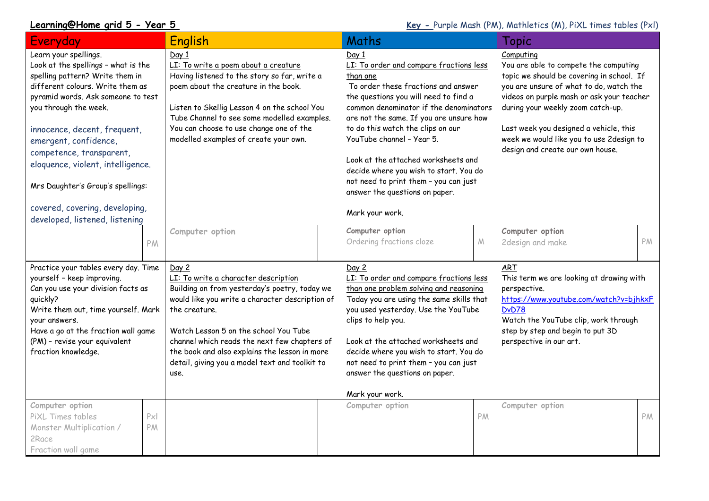**Learning@Home grid 5 - Year 5 Key - Purple Mash (PM), Mathletics (M), PiXL times tables (PxI)** 

| Everyday                                                                                                                                                                                                                                                                                                                                                                                                                              | <b>English</b>                                                                                                                                                                                                                                                                                                                                                         |  | Maths                                                                                                                                                                                                                                                                                                                                                                                                                                                                              |            | Topic                                                                                                                                                                                                                                                                                                                                                  |    |
|---------------------------------------------------------------------------------------------------------------------------------------------------------------------------------------------------------------------------------------------------------------------------------------------------------------------------------------------------------------------------------------------------------------------------------------|------------------------------------------------------------------------------------------------------------------------------------------------------------------------------------------------------------------------------------------------------------------------------------------------------------------------------------------------------------------------|--|------------------------------------------------------------------------------------------------------------------------------------------------------------------------------------------------------------------------------------------------------------------------------------------------------------------------------------------------------------------------------------------------------------------------------------------------------------------------------------|------------|--------------------------------------------------------------------------------------------------------------------------------------------------------------------------------------------------------------------------------------------------------------------------------------------------------------------------------------------------------|----|
| Learn your spellings.<br>Look at the spellings - what is the<br>spelling pattern? Write them in<br>different colours. Write them as<br>pyramid words. Ask someone to test<br>you through the week.<br>innocence, decent, frequent,<br>emergent, confidence,<br>competence, transparent,<br>eloquence, violent, intelligence.<br>Mrs Daughter's Group's spellings:<br>covered, covering, developing,<br>developed, listened, listening | Day 1<br>LI: To write a poem about a creature<br>Having listened to the story so far, write a<br>poem about the creature in the book.<br>Listen to Skellig Lesson 4 on the school You<br>Tube Channel to see some modelled examples.<br>You can choose to use change one of the<br>modelled examples of create your own.                                               |  | Day 1<br>LI: To order and compare fractions less<br>than one<br>To order these fractions and answer<br>the questions you will need to find a<br>common denominator if the denominators<br>are not the same. If you are unsure how<br>to do this watch the clips on our<br>YouTube channel - Year 5.<br>Look at the attached worksheets and<br>decide where you wish to start. You do<br>not need to print them - you can just<br>answer the questions on paper.<br>Mark your work. |            | Computing<br>You are able to compete the computing<br>topic we should be covering in school. If<br>you are unsure of what to do, watch the<br>videos on purple mash or ask your teacher<br>during your weekly zoom catch-up.<br>Last week you designed a vehicle, this<br>week we would like you to use 2design to<br>design and create our own house. |    |
| PM                                                                                                                                                                                                                                                                                                                                                                                                                                    | Computer option                                                                                                                                                                                                                                                                                                                                                        |  | Computer option<br>Ordering fractions cloze                                                                                                                                                                                                                                                                                                                                                                                                                                        | ${\cal M}$ | Computer option<br>2design and make                                                                                                                                                                                                                                                                                                                    | PM |
| Practice your tables every day. Time<br>yourself - keep improving.<br>Can you use your division facts as<br>quickly?<br>Write them out, time yourself. Mark<br>your answers.<br>Have a go at the fraction wall game<br>(PM) - revise your equivalent<br>fraction knowledge.                                                                                                                                                           | Day 2<br>LI: To write a character description<br>Building on from yesterday's poetry, today we<br>would like you write a character description of<br>the creature.<br>Watch Lesson 5 on the school You Tube<br>channel which reads the next few chapters of<br>the book and also explains the lesson in more<br>detail, giving you a model text and toolkit to<br>use. |  | Day 2<br>LI: To order and compare fractions less<br>than one problem solving and reasoning<br>Today you are using the same skills that<br>you used yesterday. Use the YouTube<br>clips to help you.<br>Look at the attached worksheets and<br>decide where you wish to start. You do<br>not need to print them - you can just<br>answer the questions on paper.<br>Mark your work.                                                                                                 |            | <b>ART</b><br>This term we are looking at drawing with<br>perspective.<br>https://www.youtube.com/watch?v=bjhkxF<br>DvD78<br>Watch the YouTube clip, work through<br>step by step and begin to put 3D<br>perspective in our art.                                                                                                                       |    |
| Computer option<br>Px<br>PiXL Times tables<br>Monster Multiplication /<br>PM<br>2Race<br>Fraction wall game                                                                                                                                                                                                                                                                                                                           |                                                                                                                                                                                                                                                                                                                                                                        |  | Computer option                                                                                                                                                                                                                                                                                                                                                                                                                                                                    | PM         | Computer option                                                                                                                                                                                                                                                                                                                                        | PM |